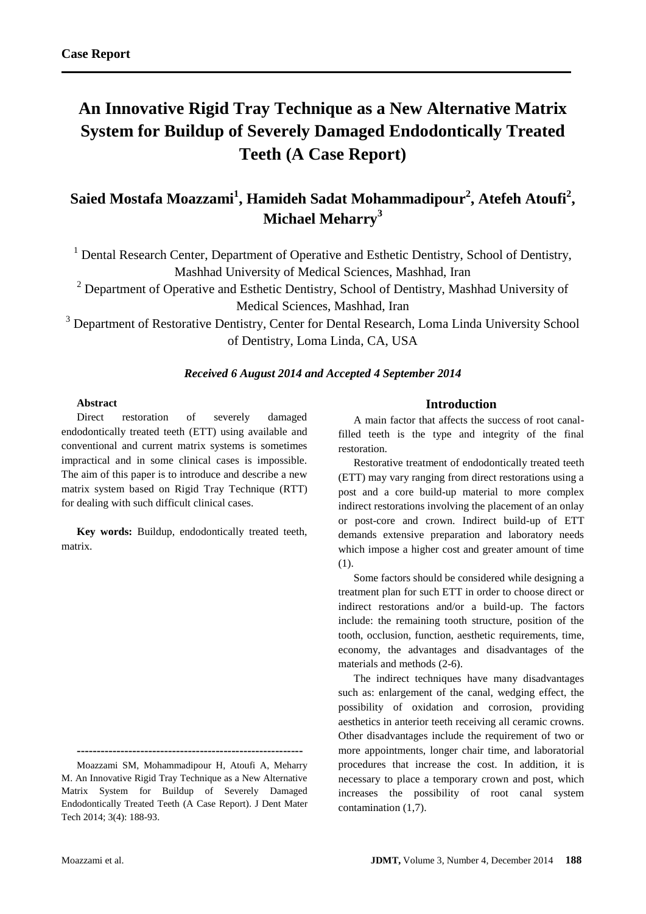# **An Innovative Rigid Tray Technique as a New Alternative Matrix System for Buildup of Severely Damaged Endodontically Treated Teeth (A Case Report)**

# **Saied Mostafa Moazzami<sup>1</sup> , Hamideh Sadat Mohammadipour<sup>2</sup> , Atefeh Atoufi<sup>2</sup> , Michael Meharry<sup>3</sup>**

<sup>1</sup> Dental Research Center, Department of Operative and Esthetic Dentistry, School of Dentistry, Mashhad University of Medical Sciences, Mashhad, Iran

<sup>2</sup> Department of Operative and Esthetic Dentistry, School of Dentistry, Mashhad University of Medical Sciences, Mashhad, Iran

<sup>3</sup> Department of Restorative Dentistry, Center for Dental Research, Loma Linda University School of Dentistry, Loma Linda, CA, USA

## *Received 6 August 2014 and Accepted 4 September 2014*

### **Abstract**

Direct restoration of severely damaged endodontically treated teeth (ETT) using available and conventional and current matrix systems is sometimes impractical and in some clinical cases is impossible. The aim of this paper is to introduce and describe a new matrix system based on Rigid Tray Technique (RTT) for dealing with such difficult clinical cases.

**Key words:** Buildup, endodontically treated teeth, matrix.

**---------------------------------------------------------**

Moazzami SM, Mohammadipour H, Atoufi A, Meharry M. An Innovative Rigid Tray Technique as a New Alternative Matrix System for Buildup of Severely Damaged Endodontically Treated Teeth (A Case Report). J Dent Mater Tech 2014; 3(4): 188-93.

#### **Introduction**

A main factor that affects the success of root canalfilled teeth is the type and integrity of the final restoration.

Restorative treatment of endodontically treated teeth (ETT) may vary ranging from direct restorations using a post and a core build-up material to more complex indirect restorations involving the placement of an onlay or post-core and crown. Indirect build-up of ETT demands extensive preparation and laboratory needs which impose a higher cost and greater amount of time (1).

Some factors should be considered while designing a treatment plan for such ETT in order to choose direct or indirect restorations and/or a build-up. The factors include: the remaining tooth structure, position of the tooth, occlusion, function, aesthetic requirements, time, economy, the advantages and disadvantages of the materials and methods (2-6).

The indirect techniques have many disadvantages such as: enlargement of the canal, wedging effect, the possibility of oxidation and corrosion, providing aesthetics in anterior teeth receiving all ceramic crowns. Other disadvantages include the requirement of two or more appointments, longer chair time, and laboratorial procedures that increase the cost. In addition, it is necessary to place a temporary crown and post, which increases the possibility of root canal system contamination (1,7).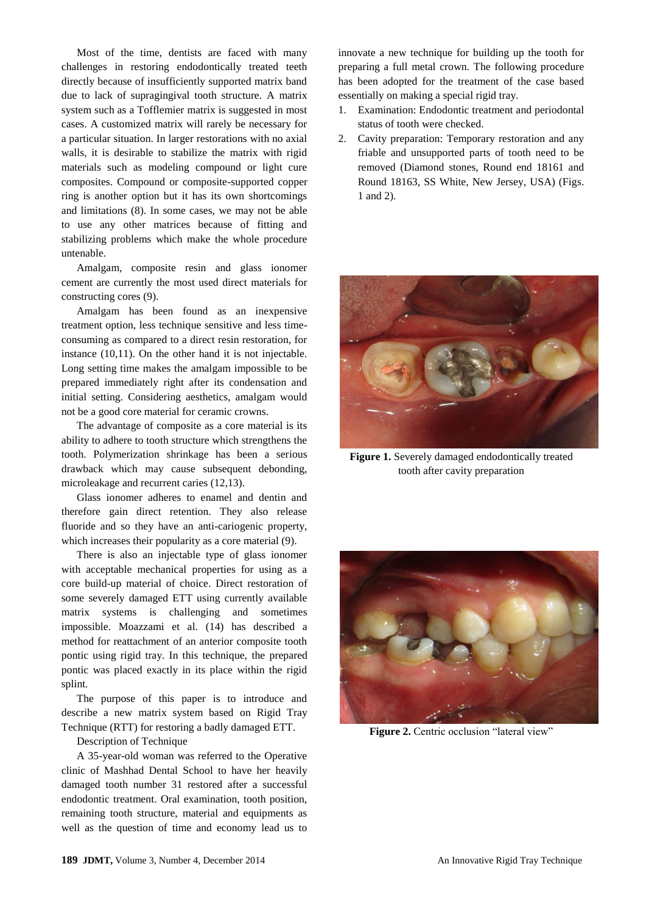Most of the time, dentists are faced with many challenges in restoring endodontically treated teeth directly because of insufficiently supported matrix band due to lack of supragingival tooth structure. A matrix system such as a Tofflemier matrix is suggested in most cases. A customized matrix will rarely be necessary for a particular situation. In larger restorations with no axial walls, it is desirable to stabilize the matrix with rigid materials such as modeling compound or light cure composites. Compound or composite-supported copper ring is another option but it has its own shortcomings and limitations (8). In some cases, we may not be able to use any other matrices because of fitting and stabilizing problems which make the whole procedure untenable.

Amalgam, composite resin and glass ionomer cement are currently the most used direct materials for constructing cores (9).

Amalgam has been found as an inexpensive treatment option, less technique sensitive and less timeconsuming as compared to a direct resin restoration, for instance (10,11). On the other hand it is not injectable. Long setting time makes the amalgam impossible to be prepared immediately right after its condensation and initial setting. Considering aesthetics, amalgam would not be a good core material for ceramic crowns.

The advantage of composite as a core material is its ability to adhere to tooth structure which strengthens the tooth. Polymerization shrinkage has been a serious drawback which may cause subsequent debonding, microleakage and recurrent caries (12,13).

Glass ionomer adheres to enamel and dentin and therefore gain direct retention. They also release fluoride and so they have an anti-cariogenic property, which increases their popularity as a core material (9).

There is also an injectable type of glass ionomer with acceptable mechanical properties for using as a core build-up material of choice. Direct restoration of some severely damaged ETT using currently available matrix systems is challenging and sometimes impossible. Moazzami et al. (14) has described a method for reattachment of an anterior composite tooth pontic using rigid tray. In this technique, the prepared pontic was placed exactly in its place within the rigid splint.

The purpose of this paper is to introduce and describe a new matrix system based on Rigid Tray Technique (RTT) for restoring a badly damaged ETT.

Description of Technique

A 35-year-old woman was referred to the Operative clinic of Mashhad Dental School to have her heavily damaged tooth number 31 restored after a successful endodontic treatment. Oral examination, tooth position, remaining tooth structure, material and equipments as well as the question of time and economy lead us to

innovate a new technique for building up the tooth for preparing a full metal crown. The following procedure has been adopted for the treatment of the case based essentially on making a special rigid tray.

- 1. Examination: Endodontic treatment and periodontal status of tooth were checked.
- 2. Cavity preparation: Temporary restoration and any friable and unsupported parts of tooth need to be removed (Diamond stones, Round end 18161 and Round 18163, SS White, New Jersey, USA) (Figs. 1 and 2).



**Figure 1.** Severely damaged endodontically treated tooth after cavity preparation



**Figure 2.** Centric occlusion "lateral view"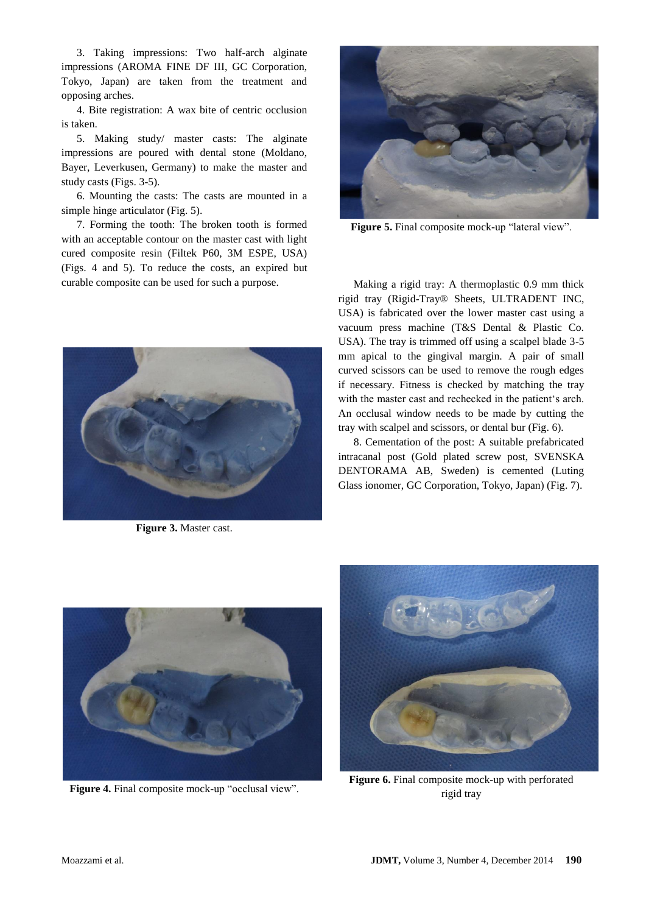3. Taking impressions: Two half-arch alginate impressions (AROMA FINE DF III, GC Corporation, Tokyo, Japan) are taken from the treatment and opposing arches.

4. Bite registration: A wax bite of centric occlusion is taken.

5. Making study/ master casts: The alginate impressions are poured with dental stone (Moldano, Bayer, Leverkusen, Germany) to make the master and study casts (Figs. 3-5).

6. Mounting the casts: The casts are mounted in a simple hinge articulator (Fig. 5).

7. Forming the tooth: The broken tooth is formed with an acceptable contour on the master cast with light cured composite resin (Filtek P60, 3M ESPE, USA) (Figs. 4 and 5). To reduce the costs, an expired but curable composite can be used for such a purpose.



**Figure 3.** Master cast.



**Figure 5.** Final composite mock-up "lateral view".

Making a rigid tray: A thermoplastic 0.9 mm thick rigid tray (Rigid-Tray® Sheets, ULTRADENT INC, USA) is fabricated over the lower master cast using a vacuum press machine (T&S Dental & Plastic Co. USA). The tray is trimmed off using a scalpel blade 3-5 mm apical to the gingival margin. A pair of small curved scissors can be used to remove the rough edges if necessary. Fitness is checked by matching the tray with the master cast and rechecked in the patient's arch. An occlusal window needs to be made by cutting the tray with scalpel and scissors, or dental bur (Fig. 6).

8. Cementation of the post: A suitable prefabricated intracanal post (Gold plated screw post, SVENSKA DENTORAMA AB, Sweden) is cemented (Luting Glass ionomer, GC Corporation, Tokyo, Japan) (Fig. 7).



**Figure 4.** Final composite mock-up "occlusal view".



**Figure 6.** Final composite mock-up with perforated rigid tray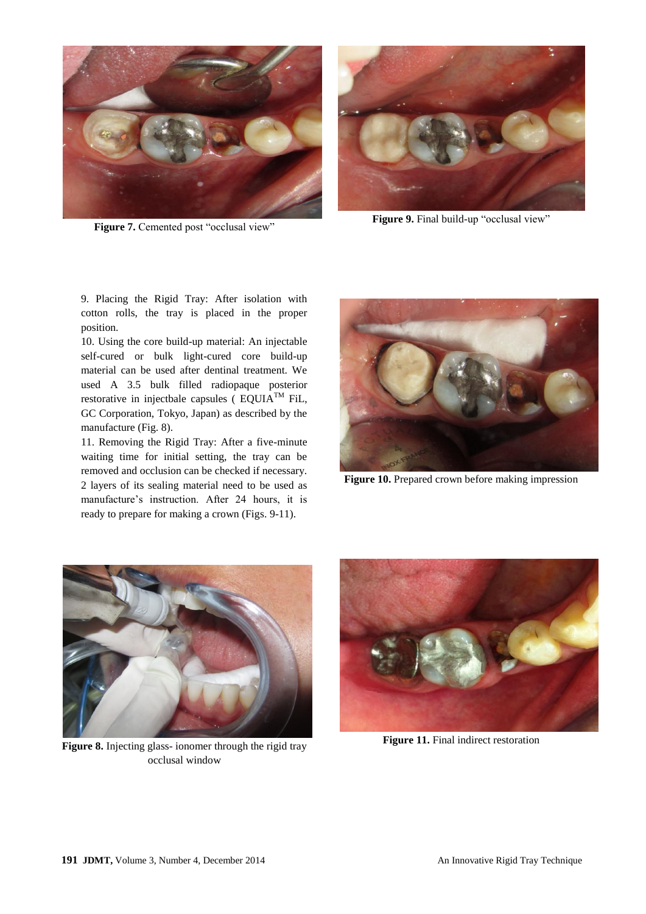

Figure 7. Cemented post "occlusal view"



Figure 9. Final build-up "occlusal view"

9. Placing the Rigid Tray: After isolation with cotton rolls, the tray is placed in the proper position.

10. Using the core build-up material: An injectable self-cured or bulk light-cured core build-up material can be used after dentinal treatment. We used A 3.5 bulk filled radiopaque posterior restorative in injectbale capsules ( $EQUIA<sup>TM</sup> Fil$ , GC Corporation, Tokyo, Japan) as described by the manufacture (Fig. 8).

11. Removing the Rigid Tray: After a five-minute waiting time for initial setting, the tray can be removed and occlusion can be checked if necessary. 2 layers of its sealing material need to be used as manufacture's instruction. After 24 hours, it is ready to prepare for making a crown (Figs. 9-11).



**Figure 10.** Prepared crown before making impression



**Figure 8.** Injecting glass- ionomer through the rigid tray occlusal window



**Figure 11.** Final indirect restoration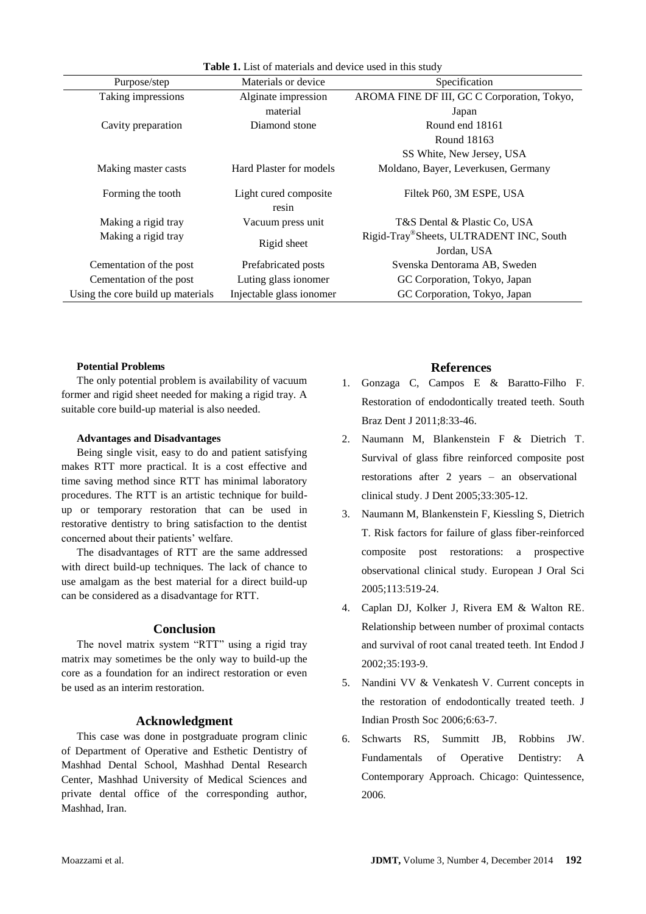| <b>Table 1.</b> List of materials and device used in this study |                                |                                             |
|-----------------------------------------------------------------|--------------------------------|---------------------------------------------|
| Purpose/step                                                    | Materials or device            | Specification                               |
| Taking impressions                                              | Alginate impression            | AROMA FINE DF III, GC C Corporation, Tokyo, |
|                                                                 | material                       | Japan                                       |
| Cavity preparation                                              | Diamond stone                  | Round end 18161                             |
|                                                                 |                                | Round 18163                                 |
|                                                                 |                                | SS White, New Jersey, USA                   |
| Making master casts                                             | Hard Plaster for models        | Moldano, Bayer, Leverkusen, Germany         |
| Forming the tooth                                               | Light cured composite<br>resin | Filtek P60, 3M ESPE, USA                    |
| Making a rigid tray                                             | Vacuum press unit              | T&S Dental & Plastic Co, USA                |
| Making a rigid tray                                             | Rigid sheet                    | Rigid-Tray®Sheets, ULTRADENT INC, South     |
|                                                                 |                                | Jordan, USA                                 |
| Cementation of the post                                         | Prefabricated posts            | Svenska Dentorama AB, Sweden                |
| Cementation of the post                                         | Luting glass ionomer           | GC Corporation, Tokyo, Japan                |
| Using the core build up materials                               | Injectable glass ionomer       | GC Corporation, Tokyo, Japan                |

#### **Potential Problems**

The only potential problem is availability of vacuum former and rigid sheet needed for making a rigid tray. A suitable core build-up material is also needed.

#### **Advantages and Disadvantages**

Being single visit, easy to do and patient satisfying makes RTT more practical. It is a cost effective and time saving method since RTT has minimal laboratory procedures. The RTT is an artistic technique for buildup or temporary restoration that can be used in restorative dentistry to bring satisfaction to the dentist concerned about their patients' welfare.

The disadvantages of RTT are the same addressed with direct build-up techniques. The lack of chance to use amalgam as the best material for a direct build-up can be considered as a disadvantage for RTT.

#### **Conclusion**

The novel matrix system "RTT" using a rigid tray matrix may sometimes be the only way to build-up the core as a foundation for an indirect restoration or even be used as an interim restoration.

#### **Acknowledgment**

This case was done in postgraduate program clinic of Department of Operative and Esthetic Dentistry of Mashhad Dental School, Mashhad Dental Research Center, Mashhad University of Medical Sciences and private dental office of the corresponding author, Mashhad, Iran.

# **References**

- 1. Gonzaga C, Campos E & Baratto-Filho F. Restoration of endodontically treated teeth. South Braz Dent J 2011;8:33-46.
- 2. Naumann M, Blankenstein F & Dietrich T. Survival of glass fibre reinforced composite post restorations after 2 years – an observational clinical study. J Dent 2005;33:305-12.
- 3. Naumann M, Blankenstein F, Kiessling S, Dietrich T. Risk factors for failure of glass fiber-reinforced composite post restorations: a prospective observational clinical study. European J Oral Sci 2005;113:519-24.
- 4. Caplan DJ, Kolker J, Rivera EM & Walton RE. Relationship between number of proximal contacts and survival of root canal treated teeth. Int Endod J 2002;35:193-9.
- 5. Nandini VV & Venkatesh V. Current concepts in the restoration of endodontically treated teeth. J Indian Prosth Soc 2006;6:63-7.
- 6. Schwarts RS, Summitt JB, Robbins JW. Fundamentals of Operative Dentistry: A Contemporary Approach. Chicago: Quintessence, 2006.